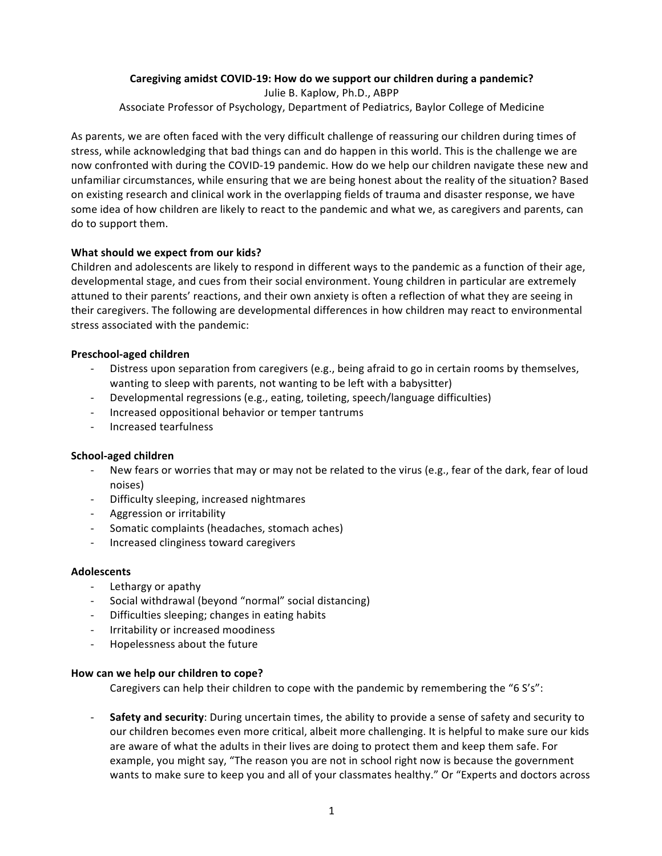# Caregiving amidst COVID-19: How do we support our children during a pandemic?

Julie B. Kaplow, Ph.D., ABPP Associate Professor of Psychology, Department of Pediatrics, Baylor College of Medicine

As parents, we are often faced with the very difficult challenge of reassuring our children during times of stress, while acknowledging that bad things can and do happen in this world. This is the challenge we are now confronted with during the COVID-19 pandemic. How do we help our children navigate these new and unfamiliar circumstances, while ensuring that we are being honest about the reality of the situation? Based on existing research and clinical work in the overlapping fields of trauma and disaster response, we have some idea of how children are likely to react to the pandemic and what we, as caregivers and parents, can do to support them.

## **What should we expect from our kids?**

Children and adolescents are likely to respond in different ways to the pandemic as a function of their age, developmental stage, and cues from their social environment. Young children in particular are extremely attuned to their parents' reactions, and their own anxiety is often a reflection of what they are seeing in their caregivers. The following are developmental differences in how children may react to environmental stress associated with the pandemic:

## **Preschool-aged children**

- Distress upon separation from caregivers (e.g., being afraid to go in certain rooms by themselves, wanting to sleep with parents, not wanting to be left with a babysitter)
- Developmental regressions (e.g., eating, toileting, speech/language difficulties)
- Increased oppositional behavior or temper tantrums
- Increased tearfulness

## **School-aged children**

- New fears or worries that may or may not be related to the virus (e.g., fear of the dark, fear of loud noises)
- Difficulty sleeping, increased nightmares
- Aggression or irritability
- Somatic complaints (headaches, stomach aches)
- Increased clinginess toward caregivers

## **Adolescents**

- Lethargy or apathy
- Social withdrawal (beyond "normal" social distancing)
- Difficulties sleeping; changes in eating habits
- Irritability or increased moodiness
- Hopelessness about the future

## **How can we help our children to cope?**

Caregivers can help their children to cope with the pandemic by remembering the "6 S's":

**Safety and security**: During uncertain times, the ability to provide a sense of safety and security to our children becomes even more critical, albeit more challenging. It is helpful to make sure our kids are aware of what the adults in their lives are doing to protect them and keep them safe. For example, you might say, "The reason you are not in school right now is because the government wants to make sure to keep you and all of your classmates healthy." Or "Experts and doctors across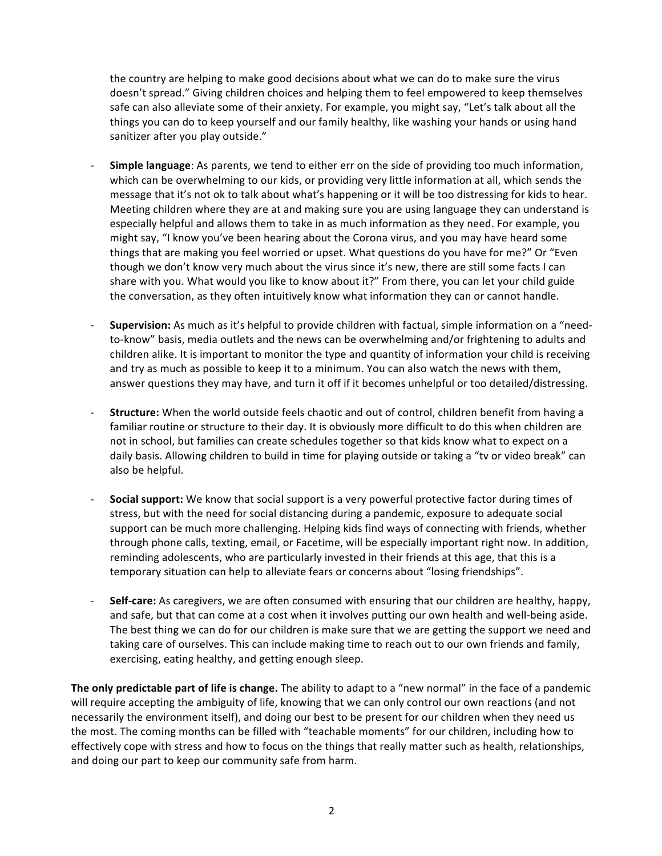the country are helping to make good decisions about what we can do to make sure the virus doesn't spread." Giving children choices and helping them to feel empowered to keep themselves safe can also alleviate some of their anxiety. For example, you might say, "Let's talk about all the things you can do to keep yourself and our family healthy, like washing your hands or using hand sanitizer after you play outside."

- **Simple language**: As parents, we tend to either err on the side of providing too much information, which can be overwhelming to our kids, or providing very little information at all, which sends the message that it's not ok to talk about what's happening or it will be too distressing for kids to hear. Meeting children where they are at and making sure you are using language they can understand is especially helpful and allows them to take in as much information as they need. For example, you might say, "I know you've been hearing about the Corona virus, and you may have heard some things that are making you feel worried or upset. What questions do you have for me?" Or "Even though we don't know very much about the virus since it's new, there are still some facts I can share with you. What would you like to know about it?" From there, you can let your child guide the conversation, as they often intuitively know what information they can or cannot handle.
- **Supervision:** As much as it's helpful to provide children with factual, simple information on a "needto-know" basis, media outlets and the news can be overwhelming and/or frightening to adults and children alike. It is important to monitor the type and quantity of information your child is receiving and try as much as possible to keep it to a minimum. You can also watch the news with them, answer questions they may have, and turn it off if it becomes unhelpful or too detailed/distressing.
- **Structure:** When the world outside feels chaotic and out of control, children benefit from having a familiar routine or structure to their day. It is obviously more difficult to do this when children are not in school, but families can create schedules together so that kids know what to expect on a daily basis. Allowing children to build in time for playing outside or taking a "ty or video break" can also be helpful.
- **Social support:** We know that social support is a very powerful protective factor during times of stress, but with the need for social distancing during a pandemic, exposure to adequate social support can be much more challenging. Helping kids find ways of connecting with friends, whether through phone calls, texting, email, or Facetime, will be especially important right now. In addition, reminding adolescents, who are particularly invested in their friends at this age, that this is a temporary situation can help to alleviate fears or concerns about "losing friendships".
- **Self-care:** As caregivers, we are often consumed with ensuring that our children are healthy, happy, and safe, but that can come at a cost when it involves putting our own health and well-being aside. The best thing we can do for our children is make sure that we are getting the support we need and taking care of ourselves. This can include making time to reach out to our own friends and family, exercising, eating healthy, and getting enough sleep.

**The only predictable part of life is change.** The ability to adapt to a "new normal" in the face of a pandemic will require accepting the ambiguity of life, knowing that we can only control our own reactions (and not necessarily the environment itself), and doing our best to be present for our children when they need us the most. The coming months can be filled with "teachable moments" for our children, including how to effectively cope with stress and how to focus on the things that really matter such as health, relationships, and doing our part to keep our community safe from harm.